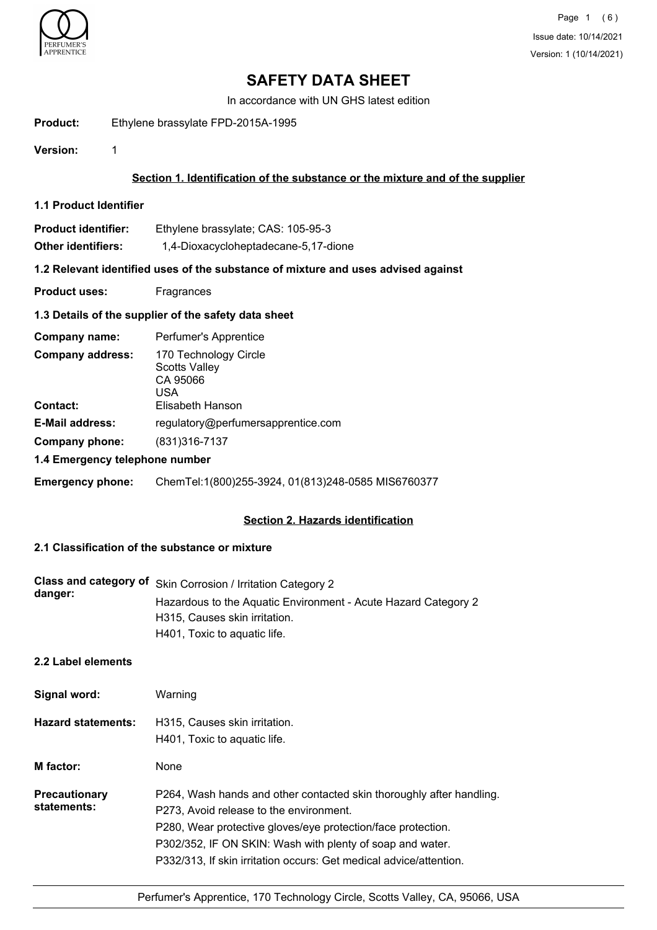

In accordance with UN GHS latest edition

**Product:** Ethylene brassylate FPD-2015A-1995

**Version:** 1

## **Section 1. Identification of the substance or the mixture and of the supplier**

**1.1 Product Identifier**

| <b>Product identifier:</b> | Ethylene brassylate; CAS: 105-95-3   |
|----------------------------|--------------------------------------|
| Other identifiers:         | 1,4-Dioxacycloheptadecane-5,17-dione |

### **1.2 Relevant identified uses of the substance of mixture and uses advised against**

**Product uses:** Fragrances

### **1.3 Details of the supplier of the safety data sheet**

| Company name:                              | Perfumer's Apprentice                                                                |  |
|--------------------------------------------|--------------------------------------------------------------------------------------|--|
| <b>Company address:</b><br><b>Contact:</b> | 170 Technology Circle<br><b>Scotts Valley</b><br>CA 95066<br>USA<br>Elisabeth Hanson |  |
|                                            |                                                                                      |  |
| <b>E-Mail address:</b>                     | regulatory@perfumersapprentice.com                                                   |  |
| Company phone:                             | (831) 316-7137                                                                       |  |
| 1.4 Emergency telephone number             |                                                                                      |  |

### **Emergency phone:** ChemTel:1(800)255-3924, 01(813)248-0585 MIS6760377

### **Section 2. Hazards identification**

# **2.1 Classification of the substance or mixture**

| danger: | Class and category of Skin Corrosion / Irritation Category 2   |
|---------|----------------------------------------------------------------|
|         | Hazardous to the Aquatic Environment - Acute Hazard Category 2 |
|         | H315, Causes skin irritation.                                  |
|         | H401, Toxic to aquatic life.                                   |

## **2.2 Label elements**

| Signal word:                        | Warning                                                                                                                                                                                                                                                                                                            |
|-------------------------------------|--------------------------------------------------------------------------------------------------------------------------------------------------------------------------------------------------------------------------------------------------------------------------------------------------------------------|
| <b>Hazard statements:</b>           | H315. Causes skin irritation.<br>H401, Toxic to aquatic life.                                                                                                                                                                                                                                                      |
| M factor:                           | None                                                                                                                                                                                                                                                                                                               |
| <b>Precautionary</b><br>statements: | P264, Wash hands and other contacted skin thoroughly after handling.<br>P273, Avoid release to the environment.<br>P280, Wear protective gloves/eye protection/face protection.<br>P302/352, IF ON SKIN: Wash with plenty of soap and water.<br>P332/313, If skin irritation occurs: Get medical advice/attention. |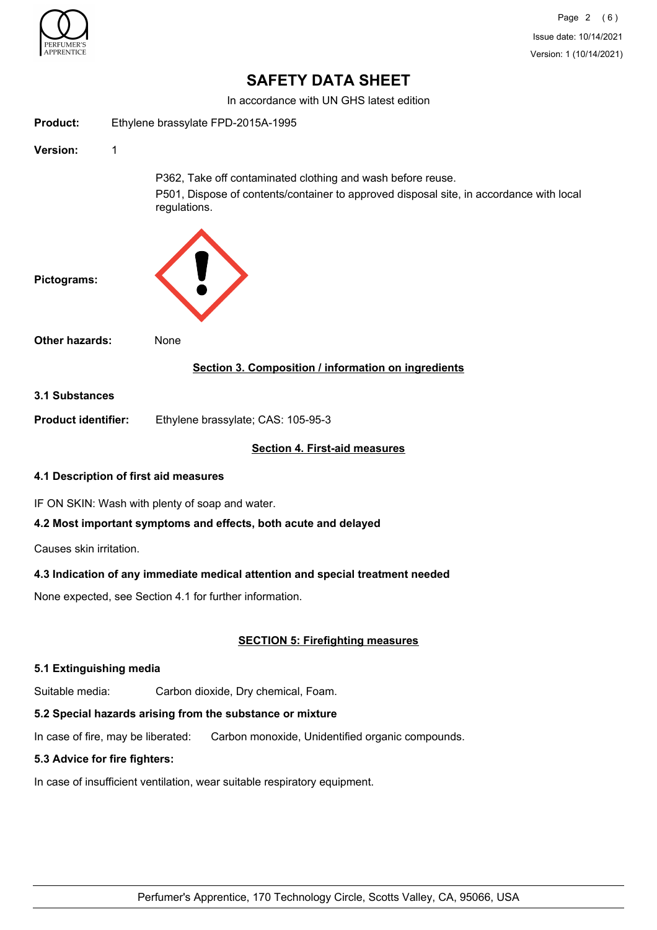

In accordance with UN GHS latest edition

| <b>Product:</b>                       | Ethylene brassylate FPD-2015A-1995 |                                                                                                                                                                        |
|---------------------------------------|------------------------------------|------------------------------------------------------------------------------------------------------------------------------------------------------------------------|
| Version:                              | 1                                  |                                                                                                                                                                        |
|                                       |                                    | P362, Take off contaminated clothing and wash before reuse.<br>P501, Dispose of contents/container to approved disposal site, in accordance with local<br>regulations. |
| Pictograms:                           |                                    |                                                                                                                                                                        |
| <b>Other hazards:</b>                 |                                    | None                                                                                                                                                                   |
|                                       |                                    | Section 3. Composition / information on ingredients                                                                                                                    |
| <b>3.1 Substances</b>                 |                                    |                                                                                                                                                                        |
| <b>Product identifier:</b>            |                                    | Ethylene brassylate; CAS: 105-95-3                                                                                                                                     |
|                                       |                                    | <b>Section 4. First-aid measures</b>                                                                                                                                   |
| 4.1 Description of first aid measures |                                    |                                                                                                                                                                        |
|                                       |                                    | IF ON SKIN: Wash with plenty of soap and water.                                                                                                                        |
|                                       |                                    | 4.2 Most important symptoms and effects, both acute and delayed                                                                                                        |
| Causes skin irritation.               |                                    |                                                                                                                                                                        |
|                                       |                                    | 4.3 Indication of any immediate medical attention and special treatment needed                                                                                         |
|                                       |                                    | None expected, see Section 4.1 for further information.                                                                                                                |

## **SECTION 5: Firefighting measures**

### **5.1 Extinguishing media**

Suitable media: Carbon dioxide, Dry chemical, Foam.

# **5.2 Special hazards arising from the substance or mixture**

In case of fire, may be liberated: Carbon monoxide, Unidentified organic compounds.

# **5.3 Advice for fire fighters:**

In case of insufficient ventilation, wear suitable respiratory equipment.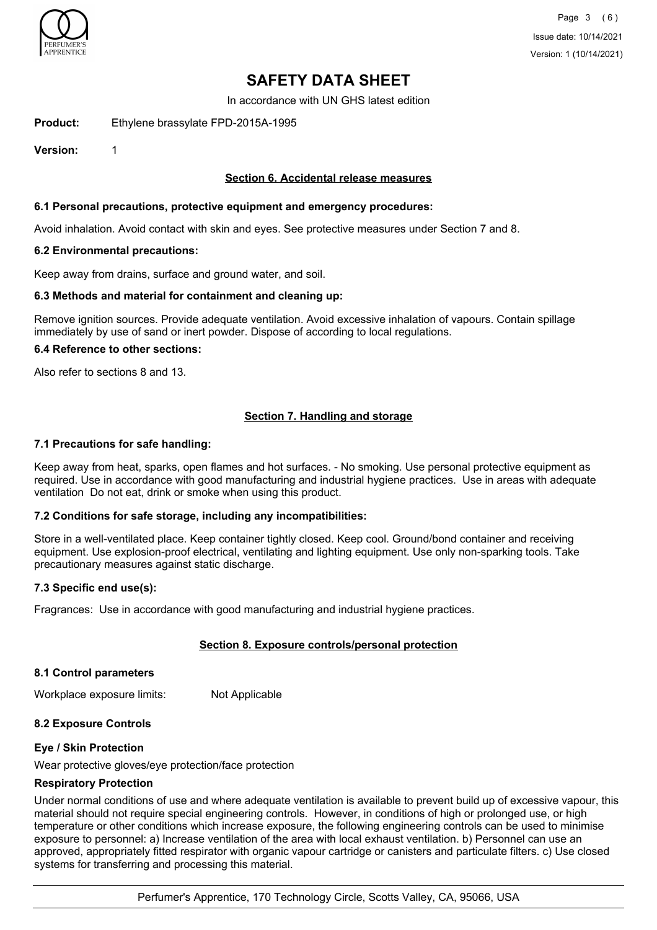

In accordance with UN GHS latest edition

**Product:** Ethylene brassylate FPD-2015A-1995

**Version:** 1

### **Section 6. Accidental release measures**

### **6.1 Personal precautions, protective equipment and emergency procedures:**

Avoid inhalation. Avoid contact with skin and eyes. See protective measures under Section 7 and 8.

#### **6.2 Environmental precautions:**

Keep away from drains, surface and ground water, and soil.

### **6.3 Methods and material for containment and cleaning up:**

Remove ignition sources. Provide adequate ventilation. Avoid excessive inhalation of vapours. Contain spillage immediately by use of sand or inert powder. Dispose of according to local regulations.

#### **6.4 Reference to other sections:**

Also refer to sections 8 and 13.

### **Section 7. Handling and storage**

### **7.1 Precautions for safe handling:**

Keep away from heat, sparks, open flames and hot surfaces. - No smoking. Use personal protective equipment as required. Use in accordance with good manufacturing and industrial hygiene practices. Use in areas with adequate ventilation Do not eat, drink or smoke when using this product.

### **7.2 Conditions for safe storage, including any incompatibilities:**

Store in a well-ventilated place. Keep container tightly closed. Keep cool. Ground/bond container and receiving equipment. Use explosion-proof electrical, ventilating and lighting equipment. Use only non-sparking tools. Take precautionary measures against static discharge.

#### **7.3 Specific end use(s):**

Fragrances: Use in accordance with good manufacturing and industrial hygiene practices.

### **Section 8. Exposure controls/personal protection**

#### **8.1 Control parameters**

Workplace exposure limits: Not Applicable

### **8.2 Exposure Controls**

### **Eye / Skin Protection**

Wear protective gloves/eye protection/face protection

### **Respiratory Protection**

Under normal conditions of use and where adequate ventilation is available to prevent build up of excessive vapour, this material should not require special engineering controls. However, in conditions of high or prolonged use, or high temperature or other conditions which increase exposure, the following engineering controls can be used to minimise exposure to personnel: a) Increase ventilation of the area with local exhaust ventilation. b) Personnel can use an approved, appropriately fitted respirator with organic vapour cartridge or canisters and particulate filters. c) Use closed systems for transferring and processing this material.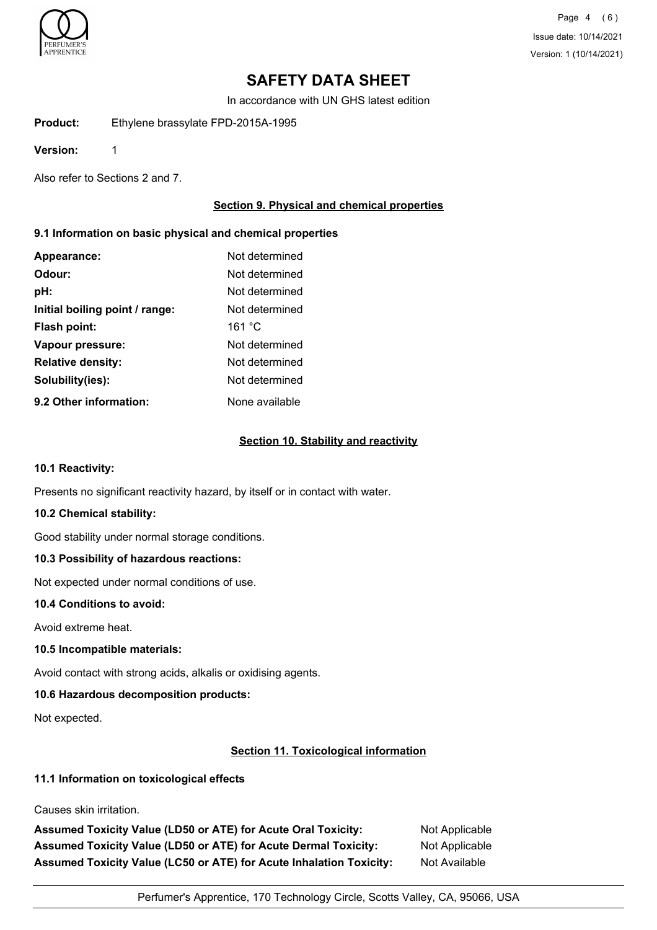

Page 4 (6) Issue date: 10/14/2021 Version: 1 (10/14/2021)

# **SAFETY DATA SHEET**

In accordance with UN GHS latest edition

**Product:** Ethylene brassylate FPD-2015A-1995

**Version:** 1

Also refer to Sections 2 and 7.

## **Section 9. Physical and chemical properties**

### **9.1 Information on basic physical and chemical properties**

| Appearance:                    | Not determined |
|--------------------------------|----------------|
| Odour:                         | Not determined |
| pH:                            | Not determined |
| Initial boiling point / range: | Not determined |
| Flash point:                   | 161 °C         |
| Vapour pressure:               | Not determined |
| <b>Relative density:</b>       | Not determined |
| Solubility(ies):               | Not determined |
| 9.2 Other information:         | None available |

## **Section 10. Stability and reactivity**

#### **10.1 Reactivity:**

Presents no significant reactivity hazard, by itself or in contact with water.

### **10.2 Chemical stability:**

Good stability under normal storage conditions.

### **10.3 Possibility of hazardous reactions:**

Not expected under normal conditions of use.

### **10.4 Conditions to avoid:**

Avoid extreme heat.

### **10.5 Incompatible materials:**

Avoid contact with strong acids, alkalis or oxidising agents.

### **10.6 Hazardous decomposition products:**

Not expected.

### **Section 11. Toxicological information**

## **11.1 Information on toxicological effects**

Causes skin irritation.

Assumed Toxicity Value (LD50 or ATE) for Acute Oral Toxicity: Not Applicable Assumed Toxicity Value (LD50 or ATE) for Acute Dermal Toxicity: Not Applicable **Assumed Toxicity Value (LC50 or ATE) for Acute Inhalation Toxicity:** Not Available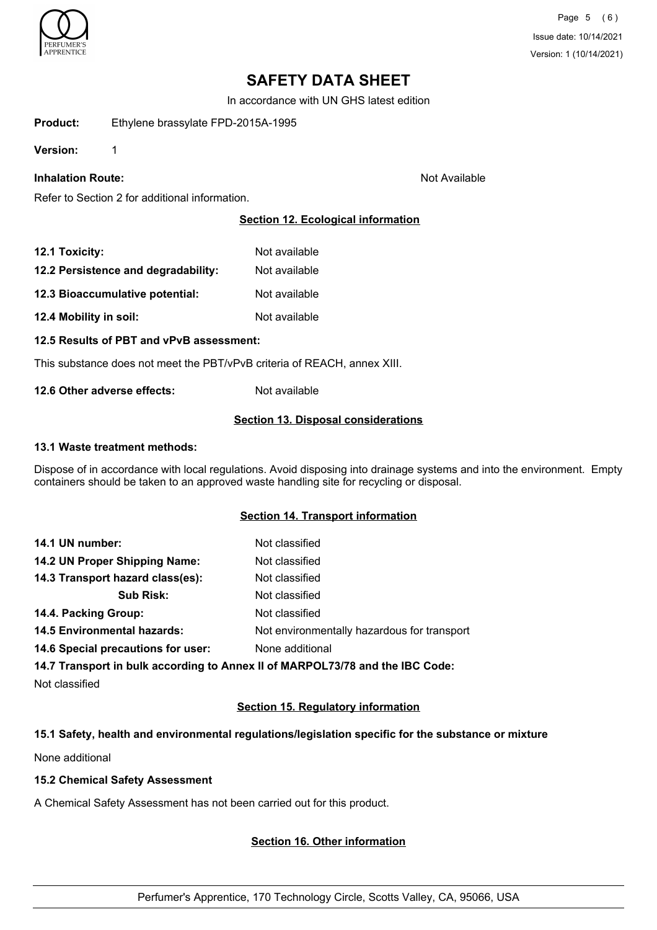

In accordance with UN GHS latest edition

**Product:** Ethylene brassylate FPD-2015A-1995

**Version:** 1

## **Inhalation Route:** Not Available

Refer to Section 2 for additional information.

## **Section 12. Ecological information**

| 12.1 Toxicity:                      | Not available |
|-------------------------------------|---------------|
| 12.2 Persistence and degradability: | Not available |
| 12.3 Bioaccumulative potential:     | Not available |
| 12.4 Mobility in soil:              | Not available |

**12.5 Results of PBT and vPvB assessment:**

This substance does not meet the PBT/vPvB criteria of REACH, annex XIII.

**12.6 Other adverse effects:** Not available

### **Section 13. Disposal considerations**

### **13.1 Waste treatment methods:**

Dispose of in accordance with local regulations. Avoid disposing into drainage systems and into the environment. Empty containers should be taken to an approved waste handling site for recycling or disposal.

## **Section 14. Transport information**

| 14.1 UN number:                    | Not classified                              |
|------------------------------------|---------------------------------------------|
| 14.2 UN Proper Shipping Name:      | Not classified                              |
| 14.3 Transport hazard class(es):   | Not classified                              |
| <b>Sub Risk:</b>                   | Not classified                              |
| 14.4. Packing Group:               | Not classified                              |
| <b>14.5 Environmental hazards:</b> | Not environmentally hazardous for transport |
| 14.6 Special precautions for user: | None additional                             |
|                                    |                                             |

**14.7 Transport in bulk according to Annex II of MARPOL73/78 and the IBC Code:**

Not classified

## **Section 15. Regulatory information**

### **15.1 Safety, health and environmental regulations/legislation specific for the substance or mixture**

None additional

## **15.2 Chemical Safety Assessment**

A Chemical Safety Assessment has not been carried out for this product.

## **Section 16. Other information**